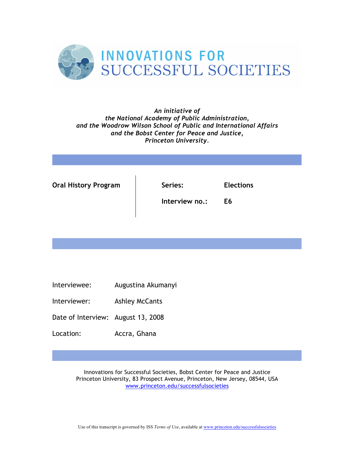

## *An initiative of the National Academy of Public Administration, and the Woodrow Wilson School of Public and International Affairs and the Bobst Center for Peace and Justice, Princeton University.*

| <b>Oral History Program</b> | Series:        | <b>Elections</b> |  |
|-----------------------------|----------------|------------------|--|
|                             | Interview no.: | E6               |  |

- Interviewee: Augustina Akumanyi
- Interviewer: Ashley McCants
- Date of Interview: August 13, 2008
- Location: Accra, Ghana

Innovations for Successful Societies, Bobst Center for Peace and Justice Princeton University, 83 Prospect Avenue, Princeton, New Jersey, 08544, USA www.princeton.edu/successfulsocieties

Use of this transcript is governed by ISS *Terms of Use*, available at www.princeton.edu/successfulsocieties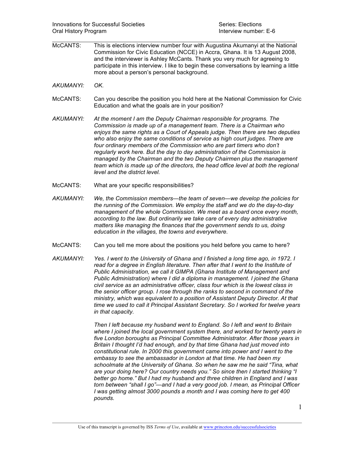McCANTS: This is elections interview number four with Augustina Akumanyi at the National Commission for Civic Education (NCCE) in Accra, Ghana. It is 13 August 2008, and the interviewer is Ashley McCants. Thank you very much for agreeing to participate in this interview. I like to begin these conversations by learning a little more about a person's personal background.

 $\mathcal{L}_\mathcal{L} = \mathcal{L}_\mathcal{L} = \mathcal{L}_\mathcal{L} = \mathcal{L}_\mathcal{L} = \mathcal{L}_\mathcal{L} = \mathcal{L}_\mathcal{L} = \mathcal{L}_\mathcal{L} = \mathcal{L}_\mathcal{L} = \mathcal{L}_\mathcal{L} = \mathcal{L}_\mathcal{L} = \mathcal{L}_\mathcal{L} = \mathcal{L}_\mathcal{L} = \mathcal{L}_\mathcal{L} = \mathcal{L}_\mathcal{L} = \mathcal{L}_\mathcal{L} = \mathcal{L}_\mathcal{L} = \mathcal{L}_\mathcal{L}$ 

- *AKUMANYI: OK.*
- McCANTS: Can you describe the position you hold here at the National Commission for Civic Education and what the goals are in your position?
- *AKUMANYI: At the moment I am the Deputy Chairman responsible for programs. The Commission is made up of a management team. There is a Chairman who enjoys the same rights as a Court of Appeals judge. Then there are two deputies*  who also enjoy the same conditions of service as high court judges. There are *four ordinary members of the Commission who are part timers who don't regularly work here. But the day to day administration of the Commission is managed by the Chairman and the two Deputy Chairmen plus the management team which is made up of the directors, the head office level at both the regional level and the district level.*
- McCANTS: What are your specific responsibilities?
- *AKUMANYI: We, the Commission members—the team of seven—we develop the policies for the running of the Commission. We employ the staff and we do the day-to-day management of the whole Commission. We meet as a board once every month,*  according to the law. But ordinarily we take care of every day administrative *matters like managing the finances that the government sends to us, doing education in the villages, the towns and everywhere.*
- McCANTS: Can you tell me more about the positions you held before you came to here?
- *AKUMANYI: Yes. I went to the University of Ghana and I finished a long time ago, in 1972. I read for a degree in English literature. Then after that I went to the Institute of Public Administration, we call it GIMPA (Ghana Institute of Management and Public Administration) where I did a diploma in management. I joined the Ghana civil service as an administrative officer, class four which is the lowest class in the senior officer group. I rose through the ranks to second in command of the ministry, which was equivalent to a position of Assistant Deputy Director. At that time we used to call it Principal Assistant Secretary. So I worked for twelve years in that capacity.*

*Then I left because my husband went to England. So I left and went to Britain where I joined the local government system there, and worked for twenty years in five London boroughs as Principal Committee Administrator. After those years in Britain I thought I'd had enough, and by that time Ghana had just moved into constitutional rule. In 2000 this government came into power and I went to the embassy to see the ambassador in London at that time. He had been my schoolmate at the University of Ghana. So when he saw me he said "Tina, what are your doing here? Our country needs you." So since then I started thinking "I better go home." But I had my husband and three children in England and I was torn between "shall I go"—and I had a very good job. I mean, as Principal Officer I was getting almost 3000 pounds a month and I was coming here to get 400 pounds.*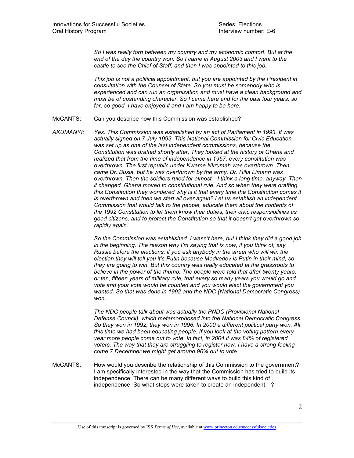*So I was really torn between my country and my economic comfort. But at the*  end of the day the country won. So I came in August 2003 and I went to the *castle to see the Chief of Staff, and then I was appointed to this job.* 

 $\mathcal{L}_\mathcal{L} = \mathcal{L}_\mathcal{L} = \mathcal{L}_\mathcal{L} = \mathcal{L}_\mathcal{L} = \mathcal{L}_\mathcal{L} = \mathcal{L}_\mathcal{L} = \mathcal{L}_\mathcal{L} = \mathcal{L}_\mathcal{L} = \mathcal{L}_\mathcal{L} = \mathcal{L}_\mathcal{L} = \mathcal{L}_\mathcal{L} = \mathcal{L}_\mathcal{L} = \mathcal{L}_\mathcal{L} = \mathcal{L}_\mathcal{L} = \mathcal{L}_\mathcal{L} = \mathcal{L}_\mathcal{L} = \mathcal{L}_\mathcal{L}$ 

*This job is not a political appointment, but you are appointed by the President in consultation with the Counsel of State. So you must be somebody who is experienced and can run an organization and must have a clean background and must be of upstanding character. So I came here and for the past four years, so*  far, so good. I have enjoyed it and I am happy to be here.

- McCANTS: Can you describe how this Commission was established?
- *AKUMANYI: Yes. This Commission was established by an act of Parliament in 1993. It was actually signed on 7 July 1993. This National Commission for Civic Education was set up as one of the last independent commissions, because the Constitution was drafted shortly after. They looked at the history of Ghana and realized that from the time of independence in 1957, every constitution was overthrown. The first republic under Kwame Nkrumah was overthrown. Then came Dr. Busia, but he was overthrown by the army. Dr. Hilla Limann was overthrown. Then the soldiers ruled for almost—I think a long time, anyway. Then it changed. Ghana moved to constitutional rule. And so when they were drafting this Constitution they wondered why is it that every time the Constitution comes it is overthrown and then we start all over again? Let us establish an independent Commission that would talk to the people, educate them about the contents of the 1992 Constitution to let them know their duties, their civic responsibilities as good citizens, and to protect the Constitution so that it doesn't get overthrown so rapidly again.*

*So the Commission was established. I wasn't here, but I think they did a good job in the beginning. The reason why I'm saying that is now, if you think of, say, Russia before the elections, if you ask anybody in the street who will win the election they will tell you it's Putin because Medvedev is Putin in their mind, so they are going to win. But this country was really educated at the grassroots to believe in the power of the thumb. The people were told that after twenty years, or ten, fifteen years of military rule, that every so many years you would go and vote and your vote would be counted and you would elect the government you wanted. So that was done in 1992 and the NDC (National Democratic Congress) won.* 

*The NDC people talk about was actually the PNDC (Provisional National Defense Council), which metamorphosed into the National Democratic Congress. So they won in 1992, they won in 1996. In 2000 a different political party won. All this time we had been educating people. If you look at the voting pattern every year more people come out to vote. In fact, in 2004 it was 84% of registered voters. The way that they are struggling to register now, I have a strong feeling come 7 December we might get around 90% out to vote.* 

McCANTS: How would you describe the relationship of this Commission to the government? I am specifically interested in the way that the Commission has tried to build its independence. There can be many different ways to build this kind of independence. So what steps were taken to create an independent—?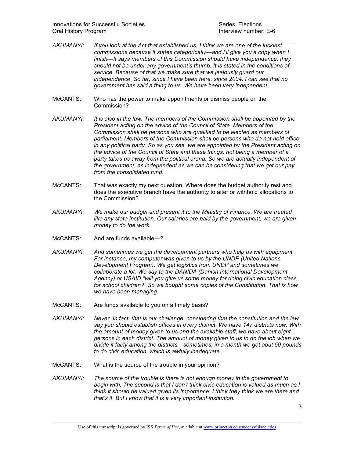- $\mathcal{L}_\mathcal{L} = \mathcal{L}_\mathcal{L} = \mathcal{L}_\mathcal{L} = \mathcal{L}_\mathcal{L} = \mathcal{L}_\mathcal{L} = \mathcal{L}_\mathcal{L} = \mathcal{L}_\mathcal{L} = \mathcal{L}_\mathcal{L} = \mathcal{L}_\mathcal{L} = \mathcal{L}_\mathcal{L} = \mathcal{L}_\mathcal{L} = \mathcal{L}_\mathcal{L} = \mathcal{L}_\mathcal{L} = \mathcal{L}_\mathcal{L} = \mathcal{L}_\mathcal{L} = \mathcal{L}_\mathcal{L} = \mathcal{L}_\mathcal{L}$ *AKUMANYI: If you look at the Act that established us, I think we are one of the luckiest commissions because it states categorically—and I'll give you a copy when I finish—It says members of this Commission should have independence, they should not be under any government's thumb. It is stated in the conditions of service. Because of that we make sure that we jealously guard our independence. So far, since I have been here, since 2004, I can see that no government has said a thing to us. We have been very independent.*
- McCANTS: Who has the power to make appointments or dismiss people on the Commission?
- *AKUMANYI: It is also in the law. The members of the Commission shall be appointed by the President acting on the advice of the Council of State. Members of the Commission shall be persons who are qualified to be elected as members of parliament. Members of the Commission shall be persons who do not hold office in any political party. So as you see, we are appointed by the President acting on the advice of the Council of State and these things, not being a member of a party takes us away from the political arena. So we are actually independent of the government, as independent as we can be considering that we get our pay from the consolidated fund.*
- McCANTS: That was exactly my next question. Where does the budget authority rest and does the executive branch have the authority to alter or withhold allocations to the Commission?
- *AKUMANYI: We make our budget and present it to the Ministry of Finance. We are treated like any state institution. Our salaries are paid by the government, we are given money to do the work.*
- McCANTS: And are funds available-?
- *AKUMANYI: And sometimes we get the development partners who help us with equipment. For instance, my computer was given to us by the UNDP (United Nations Development Program). We get logistics from UNDP and sometimes we collaborate a lot. We say to the DANIDA (Danish International Development Agency) or USAID "will you give us some money for doing civic education class for school children?" So we bought some copies of the Constitution. That is how we have been managing.*
- McCANTS: Are funds available to you on a timely basis?
- *AKUMANYI: Never. In fact, that is our challenge, considering that the constitution and the law say you should establish offices in every district. We have 147 districts now. With the amount of money given to us and the available staff, we have about eight persons in each district. The amount of money given to us to do the job when we divide it fairly among the districts—sometimes, in a month we get abut 50 pounds to do civic education, which is awfully inadequate.*
- McCANTS: What is the source of the trouble in your opinion?
- *AKUMANYI: The source of the trouble is there is not enough money in the government to begin with. The second is that I don't think civic education is valued as much as I think it should be valued given its importance. I think they think we are there and that's it. But I know that it is a very important institution.*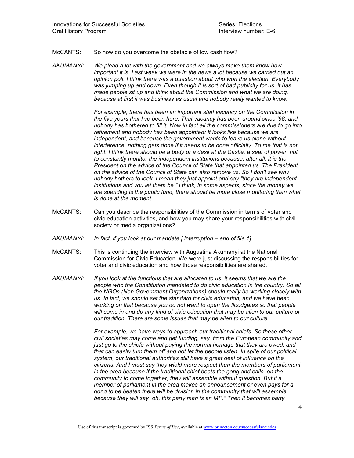## McCANTS: So how do you overcome the obstacle of low cash flow?

*AKUMANYI: We plead a lot with the government and we always make them know how important it is. Last week we were in the news a lot because we carried out an opinion poll. I think there was a question about who won the election. Everybody was jumping up and down. Even though it is sort of bad publicity for us, it has made people sit up and think about the Commission and what we are doing, because at first it was business as usual and nobody really wanted to know.* 

 $\mathcal{L}_\mathcal{L} = \mathcal{L}_\mathcal{L} = \mathcal{L}_\mathcal{L} = \mathcal{L}_\mathcal{L} = \mathcal{L}_\mathcal{L} = \mathcal{L}_\mathcal{L} = \mathcal{L}_\mathcal{L} = \mathcal{L}_\mathcal{L} = \mathcal{L}_\mathcal{L} = \mathcal{L}_\mathcal{L} = \mathcal{L}_\mathcal{L} = \mathcal{L}_\mathcal{L} = \mathcal{L}_\mathcal{L} = \mathcal{L}_\mathcal{L} = \mathcal{L}_\mathcal{L} = \mathcal{L}_\mathcal{L} = \mathcal{L}_\mathcal{L}$ 

*For example, there has been an important staff vacancy on the Commission in the five years that I've been here. That vacancy has been around since '98, and nobody has bothered to fill it. Now in fact all the commissioners are due to go into retirement and nobody has been appointed/ It looks like because we are independent, and because the government wants to leave us alone without interference, nothing gets done if it needs to be done officially. To me that is not*  right. I think there should be a body or a desk at the Castle, a seat of power, not *to constantly monitor the independent institutions because, after all, it is the President on the advice of the Council of State that appointed us. The President on the advice of the Council of State can also remove us. So I don't see why nobody bothers to look. I mean they just appoint and say "they are independent institutions and you let them be." I think, in some aspects, since the money we are spending is the public fund, there should be more close monitoring than what is done at the moment.*

- McCANTS: Can you describe the responsibilities of the Commission in terms of voter and civic education activities, and how you may share your responsibilities with civil society or media organizations?
- *AKUMANYI: In fact, if you look at our mandate [ interruption – end of file 1]*
- McCANTS: This is continuing the interview with Augustina Akumanyi at the National Commission for Civic Education. We were just discussing the responsibilities for voter and civic education and how those responsibilities are shared.
- *AKUMANYI: If you look at the functions that are allocated to us, it seems that we are the people who the Constitution mandated to do civic education in the country. So all the NGOs (Non Government Organizations) should really be working closely with us. In fact, we should set the standard for civic education, and we have been working on that because you do not want to open the floodgates so that people will come in and do any kind of civic education that may be alien to our culture or our tradition. There are some issues that may be alien to our culture.*

*For example, we have ways to approach our traditional chiefs. So these other civil societies may come and get funding, say, from the European community and just go to the chiefs without paying the normal homage that they are owed, and that can easily turn them off and not let the people listen. In spite of our political system, our traditional authorities still have a great deal of influence on the citizens. And I must say they wield more respect than the members of parliament in the area because if the traditional chief beats the gong and calls on the community to come together, they will assemble without question. But if a member of parliament in the area makes an announcement or even pays for a gong to be beaten there will be division in the community that will assemble because they will say "oh, this party man is an MP." Then it becomes party*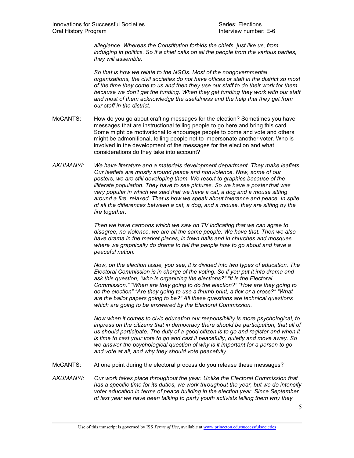*allegiance. Whereas the Constitution forbids the chiefs, just like us, from indulging in politics. So if a chief calls on all the people from the various parties, they will assemble.*

*So that is how we relate to the NGOs. Most of the nongovernmental organizations, the civil societies do not have offices or staff in the district so most of the time they come to us and then they use our staff to do their work for them because we don't get the funding. When they get funding they work with our staff and most of them acknowledge the usefulness and the help that they get from our staff in the district.* 

McCANTS: How do you go about crafting messages for the election? Sometimes you have messages that are instructional telling people to go here and bring this card. Some might be motivational to encourage people to come and vote and others might be admonitional, telling people not to impersonate another voter. Who is involved in the development of the messages for the election and what considerations do they take into account?

 $\mathcal{L}_\mathcal{L} = \mathcal{L}_\mathcal{L} = \mathcal{L}_\mathcal{L} = \mathcal{L}_\mathcal{L} = \mathcal{L}_\mathcal{L} = \mathcal{L}_\mathcal{L} = \mathcal{L}_\mathcal{L} = \mathcal{L}_\mathcal{L} = \mathcal{L}_\mathcal{L} = \mathcal{L}_\mathcal{L} = \mathcal{L}_\mathcal{L} = \mathcal{L}_\mathcal{L} = \mathcal{L}_\mathcal{L} = \mathcal{L}_\mathcal{L} = \mathcal{L}_\mathcal{L} = \mathcal{L}_\mathcal{L} = \mathcal{L}_\mathcal{L}$ 

*AKUMANYI: We have literature and a materials development department. They make leaflets. Our leaflets are mostly around peace and nonviolence. Now, some of our posters, we are still developing them. We resort to graphics because of the illiterate population. They have to see pictures. So we have a poster that was very popular in which we said that we have a cat, a dog and a mouse sitting around a fire, relaxed. That is how we speak about tolerance and peace. In spite of all the differences between a cat, a dog, and a mouse, they are sitting by the fire together.*

> *Then we have cartoons which we saw on TV indicating that we can agree to disagree, no violence, we are all the same people. We have that. Then we also have drama in the market places, in town halls and in churches and mosques*  where we graphically do drama to tell the people how to go about and have a *peaceful nation.*

*Now, on the election issue, you see, it is divided into two types of education. The Electoral Commission is in charge of the voting. So if you put it into drama and ask this question, "who is organizing the elections?" "It is the Electoral Commission." "When are they going to do the election?" "How are they going to do the election" "Are they going to use a thumb print, a tick or a cross?" "What are the ballot papers going to be?" All these questions are technical questions which are going to be answered by the Electoral Commission.*

*Now when it comes to civic education our responsibility is more psychological, to impress on the citizens that in democracy there should be participation, that all of us should participate. The duty of a good citizen is to go and register and when it is time to cast your vote to go and cast it peacefully, quietly and move away. So we answer the psychological question of why is it important for a person to go and vote at all, and why they should vote peacefully.* 

- McCANTS: At one point during the electoral process do you release these messages?
- *AKUMANYI: Our work takes place throughout the year. Unlike the Electoral Commission that has a specific time for its duties, we work throughout the year, but we do intensify voter education in terms of peace building in the election year. Since September of last year we have been talking to party youth activists telling them why they*

5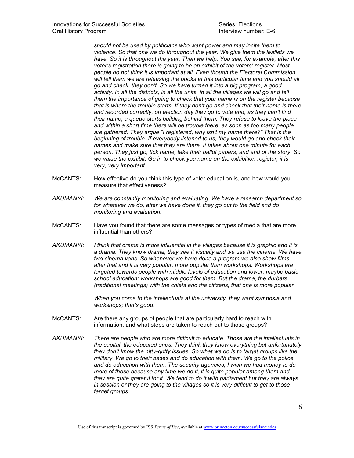*should not be used by politicians who want power and may incite them to violence. So that one we do throughout the year. We give them the leaflets we have. So it is throughout the year. Then we help. You see, for example, after this voter's registration there is going to be an exhibit of the voters' register. Most people do not think it is important at all. Even though the Electoral Commission will tell them we are releasing the books at this particular time and you should all go and check, they don't. So we have turned it into a big program, a good*  activity. In all the districts, in all the units, in all the villages we will go and tell *them the importance of going to check that your name is on the register because that is where the trouble starts. If they don't go and check that their name is there and recorded correctly, on election day they go to vote and, as they can't find their name, a queue starts building behind them. They refuse to leave the place and within a short time there will be trouble there, as soon as too many people are gathered. They argue "I registered, why isn't my name there?" That is the beginning of trouble. If everybody listened to us, they would go and check their names and make sure that they are there. It takes about one minute for each person. They just go, tick name, take their ballot papers, and end of the story. So we value the exhibit: Go in to check you name on the exhibition register, it is very, very important.* 

McCANTS: How effective do you think this type of voter education is, and how would you measure that effectiveness?

 $\mathcal{L}_\mathcal{L} = \mathcal{L}_\mathcal{L} = \mathcal{L}_\mathcal{L} = \mathcal{L}_\mathcal{L} = \mathcal{L}_\mathcal{L} = \mathcal{L}_\mathcal{L} = \mathcal{L}_\mathcal{L} = \mathcal{L}_\mathcal{L} = \mathcal{L}_\mathcal{L} = \mathcal{L}_\mathcal{L} = \mathcal{L}_\mathcal{L} = \mathcal{L}_\mathcal{L} = \mathcal{L}_\mathcal{L} = \mathcal{L}_\mathcal{L} = \mathcal{L}_\mathcal{L} = \mathcal{L}_\mathcal{L} = \mathcal{L}_\mathcal{L}$ 

- *AKUMANYI: We are constantly monitoring and evaluating. We have a research department so for whatever we do, after we have done it, they go out to the field and do monitoring and evaluation.*
- McCANTS: Have you found that there are some messages or types of media that are more influential than others?
- *AKUMANYI: I think that drama is more influential in the villages because it is graphic and it is a drama. They know drama, they see it visually and we use the cinema. We have two cinema vans. So whenever we have done a program we also show films after that and it is very popular, more popular than workshops. Workshops are targeted towards people with middle levels of education and lower, maybe basic school education: workshops are good for them. But the drama, the durbars (traditional meetings) with the chiefs and the citizens, that one is more popular.*

*When you come to the intellectuals at the university, they want symposia and workshops; that's good.* 

- McCANTS: Are there any groups of people that are particularly hard to reach with information, and what steps are taken to reach out to those groups?
- *AKUMANYI: There are people who are more difficult to educate. Those are the intellectuals in the capital, the educated ones. They think they know everything but unfortunately they don't know the nitty-gritty issues. So what we do is to target groups like the military. We go to their bases and do education with them. We go to the police and do education with them. The security agencies, I wish we had money to do more of those because any time we do it, it is quite popular among them and they are quite grateful for it. We tend to do it with parliament but they are always in session or they are going to the villages so it is very difficult to get to those target groups.*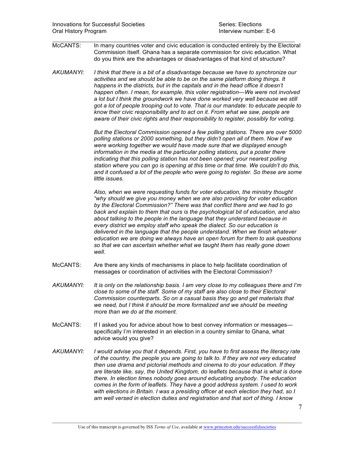McCANTS: In many countries voter and civic education is conducted entirely by the Electoral Commission itself. Ghana has a separate commission for civic education. What do you think are the advantages or disadvantages of that kind of structure?

 $\mathcal{L}_\mathcal{L} = \mathcal{L}_\mathcal{L} = \mathcal{L}_\mathcal{L} = \mathcal{L}_\mathcal{L} = \mathcal{L}_\mathcal{L} = \mathcal{L}_\mathcal{L} = \mathcal{L}_\mathcal{L} = \mathcal{L}_\mathcal{L} = \mathcal{L}_\mathcal{L} = \mathcal{L}_\mathcal{L} = \mathcal{L}_\mathcal{L} = \mathcal{L}_\mathcal{L} = \mathcal{L}_\mathcal{L} = \mathcal{L}_\mathcal{L} = \mathcal{L}_\mathcal{L} = \mathcal{L}_\mathcal{L} = \mathcal{L}_\mathcal{L}$ 

*AKUMANYI: I think that there is a bit of a disadvantage because we have to synchronize our activities and we should be able to be on the same platform doing things. It happens in the districts, but in the capitals and in the head office it doesn't happen often. I mean, for example, this voter registration—We were not involved a lot but I think the groundwork we have done worked very well because we still got a lot of people trooping out to vote. That is our mandate: to educate people to know their civic responsibility and to act on it. From what we saw, people are aware of their civic rights and their responsibility to register, possibly for voting.*

> *But the Electoral Commission opened a few polling stations. There are over 5000 polling stations or 2000 something, but they didn't open all of them. Now if we were working together we would have made sure that we displayed enough information in the media at the particular polling stations, put a poster there indicating that this polling station has not been opened; your nearest polling station where you can go is opening at this time or that time. We couldn't do this, and it confused a lot of the people who were going to register. So these are some little issues.*

> *Also, when we were requesting funds for voter education, the ministry thought "why should we give you money when we are also providing for voter education by the Electoral Commission?" There was that conflict there and we had to go back and explain to them that ours is the psychological bit of education, and also about talking to the people in the language that they understand because in every district we employ staff who speak the dialect. So our education is delivered in the language that the people understand. When we finish whatever education we are doing we always have an open forum for them to ask questions so that we can ascertain whether what we taught them has really gone down well.*

- McCANTS: Are there any kinds of mechanisms in place to help facilitate coordination of messages or coordination of activities with the Electoral Commission?
- *AKUMANYI: It is only on the relationship basis. I am very close to my colleagues there and I'm close to some of the staff. Some of my staff are also close to their Electoral Commission counterparts. So on a casual basis they go and get materials that we need, but I think it should be more formalized and we should be meeting more than we do at the moment.*
- McCANTS: If I asked you for advice about how to best convey information or messages specifically I'm interested in an election in a country similar to Ghana, what advice would you give?
- *AKUMANYI: I would advise you that it depends. First, you have to first assess the literacy rate of the country, the people you are going to talk to. If they are not very educated then use drama and pictorial methods and cinema to do your education. If they are literate like, say, the United Kingdom, do leaflets because that is what is done there. In election times nobody goes around educating anybody. The education comes in the form of leaflets. They have a good address system. I used to work with elections in Britain. I was a presiding officer at each election they had, so I am well versed in election duties and registration and that sort of thing. I know*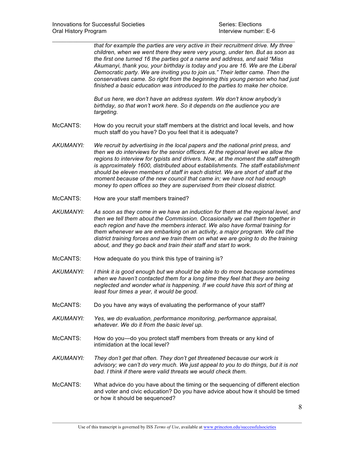*that for example the parties are very active in their recruitment drive. My three children, when we went there they were very young, under ten. But as soon as the first one turned 16 the parties got a name and address, and said "Miss Akumanyi, thank you, your birthday is today and you are 16. We are the Liberal Democratic party. We are inviting you to join us." Their letter came. Then the conservatives came. So right from the beginning this young person who had just finished a basic education was introduced to the parties to make her choice.*

*But us here, we don't have an address system. We don't know anybody's birthday, so that won't work here. So it depends on the audience you are targeting.* 

McCANTS: How do you recruit your staff members at the district and local levels, and how much staff do you have? Do you feel that it is adequate?

 $\mathcal{L}_\mathcal{L} = \mathcal{L}_\mathcal{L} = \mathcal{L}_\mathcal{L} = \mathcal{L}_\mathcal{L} = \mathcal{L}_\mathcal{L} = \mathcal{L}_\mathcal{L} = \mathcal{L}_\mathcal{L} = \mathcal{L}_\mathcal{L} = \mathcal{L}_\mathcal{L} = \mathcal{L}_\mathcal{L} = \mathcal{L}_\mathcal{L} = \mathcal{L}_\mathcal{L} = \mathcal{L}_\mathcal{L} = \mathcal{L}_\mathcal{L} = \mathcal{L}_\mathcal{L} = \mathcal{L}_\mathcal{L} = \mathcal{L}_\mathcal{L}$ 

- *AKUMANYI: We recruit by advertising in the local papers and the national print press, and then we do interviews for the senior officers. At the regional level we allow the regions to interview for typists and drivers. Now, at the moment the staff strength is approximately 1600, distributed about establishments. The staff establishment should be eleven members of staff in each district. We are short of staff at the moment because of the new council that came in; we have not had enough money to open offices so they are supervised from their closest district.*
- McCANTS: How are your staff members trained?
- *AKUMANYI: As soon as they come in we have an induction for them at the regional level, and then we tell them about the Commission. Occasionally we call them together in each region and have the members interact. We also have formal training for them whenever we are embarking on an activity, a major program. We call the district training forces and we train them on what we are going to do the training about, and they go back and train their staff and start to work.*
- McCANTS: How adequate do you think this type of training is?
- *AKUMANYI: I think it is good enough but we should be able to do more because sometimes*  when we haven't contacted them for a long time they feel that they are being *neglected and wonder what is happening. If we could have this sort of thing at least four times a year, it would be good.*
- McCANTS: Do you have any ways of evaluating the performance of your staff?
- *AKUMANYI: Yes, we do evaluation, performance monitoring, performance appraisal, whatever. We do it from the basic level up.*
- McCANTS: How do you—do you protect staff members from threats or any kind of intimidation at the local level?
- *AKUMANYI: They don't get that often. They don't get threatened because our work is*  advisory; we can't do very much. We just appeal to you to do things, but it is not *bad. I think if there were valid threats we would check them.*
- McCANTS: What advice do you have about the timing or the sequencing of different election and voter and civic education? Do you have advice about how it should be timed or how it should be sequenced?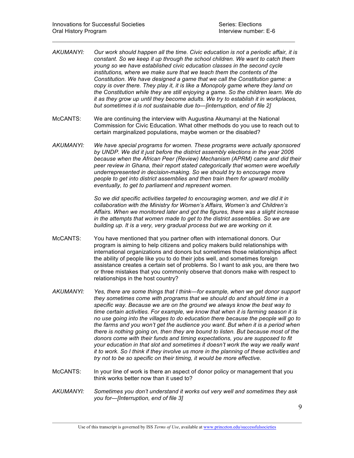*AKUMANYI: Our work should happen all the time. Civic education is not a periodic affair, it is constant. So we keep it up through the school children. We want to catch them young so we have established civic education classes in the second cycle institutions, where we make sure that we teach them the contents of the Constitution. We have designed a game that we call the Constitution game: a copy is over there. They play it, it is like a Monopoly game where they land on the Constitution while they are still enjoying a game. So the children learn. We do it as they grow up until they become adults. We try to establish it in workplaces, but sometimes it is not sustainable due to—[interruption, end of file 2]* 

 $\mathcal{L}_\mathcal{L} = \mathcal{L}_\mathcal{L} = \mathcal{L}_\mathcal{L} = \mathcal{L}_\mathcal{L} = \mathcal{L}_\mathcal{L} = \mathcal{L}_\mathcal{L} = \mathcal{L}_\mathcal{L} = \mathcal{L}_\mathcal{L} = \mathcal{L}_\mathcal{L} = \mathcal{L}_\mathcal{L} = \mathcal{L}_\mathcal{L} = \mathcal{L}_\mathcal{L} = \mathcal{L}_\mathcal{L} = \mathcal{L}_\mathcal{L} = \mathcal{L}_\mathcal{L} = \mathcal{L}_\mathcal{L} = \mathcal{L}_\mathcal{L}$ 

- McCANTS: We are continuing the interview with Augustina Akumanyi at the National Commission for Civic Education. What other methods do you use to reach out to certain marginalized populations, maybe women or the disabled?
- *AKUMANYI: We have special programs for women. These programs were actually sponsored by UNDP. We did it just before the district assembly elections in the year 2006 because when the African Peer (Review) Mechanism (APRM) came and did their peer review in Ghana, their report stated categorically that women were woefully underrepresented in decision-making. So we should try to encourage more people to get into district assemblies and then train them for upward mobility eventually, to get to parliament and represent women.*

*So we did specific activities targeted to encouraging women, and we did it in collaboration with the Ministry for Women's Affairs, Women's and Children's Affairs. When we monitored later and got the figures, there was a slight increase in the attempts that women made to get to the district assemblies. So we are building up. It is a very, very gradual process but we are working on it.* 

- McCANTS: You have mentioned that you partner often with international donors. Our program is aiming to help citizens and policy makers build relationships with international organizations and donors but sometimes those relationships affect the ability of people like you to do their jobs well, and sometimes foreign assistance creates a certain set of problems. So I want to ask you, are there two or three mistakes that you commonly observe that donors make with respect to relationships in the host country?
- *AKUMANYI: Yes, there are some things that I think—for example, when we get donor support they sometimes come with programs that we should do and should time in a specific way. Because we are on the ground we always know the best way to time certain activities. For example, we know that when it is farming season it is no use going into the villages to do education there because the people will go to the farms and you won't get the audience you want. But when it is a period when there is nothing going on, then they are bound to listen. But because most of the donors come with their funds and timing expectations, you are supposed to fit your education in that slot and sometimes it doesn't work the way we really want it to work. So I think if they involve us more in the planning of these activities and try not to be so specific on their timing, it would be more effective.*
- McCANTS: In your line of work is there an aspect of donor policy or management that you think works better now than it used to?
- *AKUMANYI: Sometimes you don't understand it works out very well and sometimes they ask you for—[Interruption, end of file 3]*

9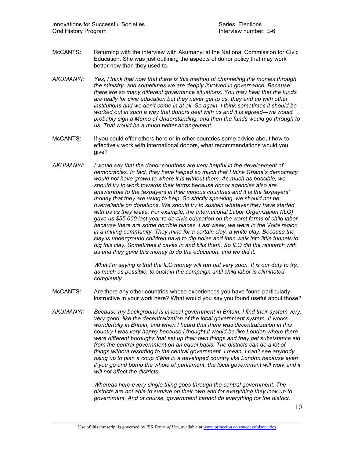McCANTS: Returning with the interview with Akumanyi at the National Commission for Civic Education. She was just outlining the aspects of donor policy that may work better now than they used to.

 $\mathcal{L}_\mathcal{L} = \mathcal{L}_\mathcal{L} = \mathcal{L}_\mathcal{L} = \mathcal{L}_\mathcal{L} = \mathcal{L}_\mathcal{L} = \mathcal{L}_\mathcal{L} = \mathcal{L}_\mathcal{L} = \mathcal{L}_\mathcal{L} = \mathcal{L}_\mathcal{L} = \mathcal{L}_\mathcal{L} = \mathcal{L}_\mathcal{L} = \mathcal{L}_\mathcal{L} = \mathcal{L}_\mathcal{L} = \mathcal{L}_\mathcal{L} = \mathcal{L}_\mathcal{L} = \mathcal{L}_\mathcal{L} = \mathcal{L}_\mathcal{L}$ 

- *AKUMANYI: Yes, I think that now that there is this method of channeling the monies through the ministry, and sometimes we are deeply involved in governance. Because there are so many different governance situations. You may hear that the funds are really for civic education but they never get to us, they end up with other institutions and we don't come in at all. So again, I think sometimes it should be worked out in such a way that donors deal with us and it is agreed—we would probably sign a Memo of Understanding, and then the funds would go through to us. That would be a much better arrangement.*
- McCANTS: If you could offer others here or in other countries some advice about how to effectively work with international donors, what recommendations would you give?
- *AKUMANYI: I would say that the donor countries are very helpful in the development of democracies. In fact, they have helped so much that I think Ghana's democracy would not have grown to where it is without them. As much as possible, we should try to work towards their terms because donor agencies also are answerable to the taxpayers in their various countries and it is the taxpayers' money that they are using to help. So strictly speaking, we should not be overreliable on donations. We should try to sustain whatever they have started with us as they leave. For example, the International Labor Organization (ILO) gave us \$55,000 last year to do civic education on the worst forms of child labor because there are some horrible places. Last week, we were in the Volta region in a mining community. They mine for a certain clay, a white clay. Because the clay is underground children have to dig holes and then walk into little tunnels to dig this clay. Sometimes it caves in and kills them. So ILO did the research with us and they gave this money to do the education, and we did it.*

*What I'm saying is that the ILO money will run out very soon. It is our duty to try, as much as possible, to sustain the campaign until child labor is eliminated completely.*

- McCANTS: Are there any other countries whose experiences you have found particularly instructive in your work here? What would you say you found useful about those?
- *AKUMANYI: Because my background is in local government in Britain, I find their system very, very good, like the decentralization of the local government system. It works wonderfully in Britain, and when I heard that there was decentralization in this country I was very happy because I thought it would be like London where there were different boroughs that set up their own things and they get subsistence aid from the central government on an equal basis. The districts can do a lot of things without resorting to the central government. I mean, I can't see anybody rising up to plan a coup d'état in a developed country like London because even if you go and bomb the whole of parliament, the local government will work and it will not affect the districts.*

*Whereas here every single thing goes through the central government. The districts are not able to survive on their own and for everything they look up to government. And of course, government cannot do everything for the district.*